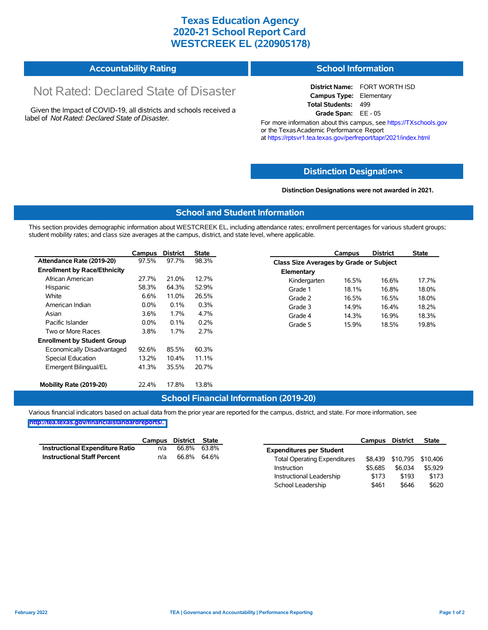## **Texas Education Agency 2020-21 School Report Card WESTCREEK EL (220905178)**

#### **Accountability Rating School Information**

# Not Rated: Declared State of Disaster

Given the Impact of COVID-19, all districts and schools received a label of *Not Rated: Declared State of Disaster.*

**District Name:** FORT WORTH ISD **Campus Type:** Elementary **Total Students:** 499 **Grade Span:** EE - 05

For more information about this campus, see https://TXschools.gov or the Texas Academic Performance Report at https://rptsvr1.tea.texas.gov/perfreport/tapr/2021/index.html

#### **Distinction Designat[ions](https://TXschools.gov)**

**Distinction Designations were not awarded in 2021.**

School Leadership  $$461$  \$646 \$620

#### **School and Student Information**

This section provides demographic information about WESTCREEK EL, including attendance rates; enrollment percentages for various student groups; student mobility rates; and class size averages at the campus, district, and state level, where applicable.

|                                     | Campus  | <b>District</b> | <b>State</b> |              | Campus                                  | <b>District</b> | <b>State</b> |  |  |
|-------------------------------------|---------|-----------------|--------------|--------------|-----------------------------------------|-----------------|--------------|--|--|
| Attendance Rate (2019-20)           | 97.5%   | 97.7%           | 98.3%        |              | Class Size Averages by Grade or Subject |                 |              |  |  |
| <b>Enrollment by Race/Ethnicity</b> |         |                 |              | Elementary   |                                         |                 |              |  |  |
| African American                    | 27.7%   | 21.0%           | 12.7%        | Kindergarten | 16.5%                                   | 16.6%           | 17.7%        |  |  |
| Hispanic                            | 58.3%   | 64.3%           | 52.9%        | Grade 1      | 18.1%                                   | 16.8%           | 18.0%        |  |  |
| White                               | 6.6%    | 11.0%           | 26.5%        | Grade 2      | 16.5%                                   | 16.5%           | 18.0%        |  |  |
| American Indian                     | $0.0\%$ | 0.1%            | 0.3%         | Grade 3      | 14.9%                                   | 16.4%           | 18.2%        |  |  |
| Asian                               | 3.6%    | 1.7%            | 4.7%         | Grade 4      | 14.3%                                   | 16.9%           | 18.3%        |  |  |
| Pacific Islander                    | $0.0\%$ | 0.1%            | 0.2%         | Grade 5      | 15.9%                                   | 18.5%           | 19.8%        |  |  |
| Two or More Races                   | 3.8%    | 1.7%            | 2.7%         |              |                                         |                 |              |  |  |
| <b>Enrollment by Student Group</b>  |         |                 |              |              |                                         |                 |              |  |  |
| Economically Disadvantaged          | 92.6%   | 85.5%           | 60.3%        |              |                                         |                 |              |  |  |
| Special Education                   | 13.2%   | 10.4%           | 11.1%        |              |                                         |                 |              |  |  |
| Emergent Bilingual/EL               | 41.3%   | 35.5%           | 20.7%        |              |                                         |                 |              |  |  |
|                                     |         |                 |              |              |                                         |                 |              |  |  |
| Mobility Rate (2019-20)             | 22.4%   | 17.8%           | 13.8%        |              |                                         |                 |              |  |  |

#### **School Financial Information (2019-20)**

Various financial indicators based on actual data from the prior year are reported for the campus, district, and state. For more information, see

**[http://tea.texas.gov/financialstandardreports/.](http://tea.texas.gov/financialstandardreports/)**

|                                        | Campus | District | State |                                     | Campus  | <b>District</b>           | <b>State</b> |
|----------------------------------------|--------|----------|-------|-------------------------------------|---------|---------------------------|--------------|
| <b>Instructional Expenditure Ratio</b> | n/a    | 66.8%    | 63.8% | <b>Expenditures per Student</b>     |         |                           |              |
| <b>Instructional Staff Percent</b>     | n/a    | 66.8%    | 64.6% | <b>Total Operating Expenditures</b> |         | \$8,439 \$10,795 \$10,406 |              |
|                                        |        |          |       | Instruction                         | \$5.685 | \$6,034                   | \$5.929      |
|                                        |        |          |       | Instructional Leadership            | \$173   | \$193                     | \$173        |